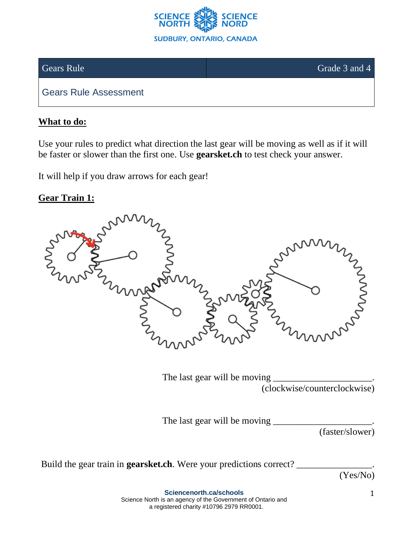

Gears Rule Grade 3 and 4

Gears Rule Assessment

## **What to do:**

Use your rules to predict what direction the last gear will be moving as well as if it will be faster or slower than the first one. Use **gearsket.ch** to test check your answer.

It will help if you draw arrows for each gear!

## **Gear Train 1:**



The last gear will be moving (clockwise/counterclockwise)

The last gear will be moving

(faster/slower)

Build the gear train in **gearsket.ch**. Were your predictions correct?

(Yes/No)

**Sciencenorth.ca/schools** Science North is an agency of the Government of Ontario and a registered charity #10796 2979 RR0001.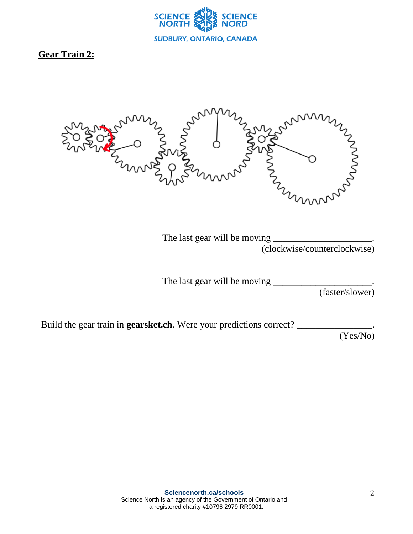

## **Gear Train 2:**



The last gear will be moving (clockwise/counterclockwise)

The last gear will be moving

(faster/slower)

Build the gear train in **gearsket.ch**. Were your predictions correct?

(Yes/No)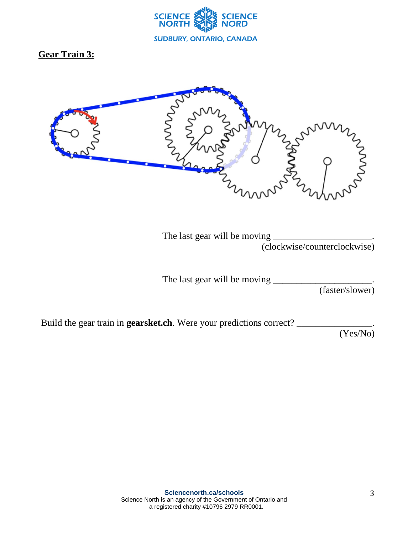

**Gear Train 3:**



The last gear will be moving  $_$ (clockwise/counterclockwise)

The last gear will be moving  $\_\_$ 

(faster/slower)

Build the gear train in **gearsket.ch**. Were your predictions correct?

(Yes/No)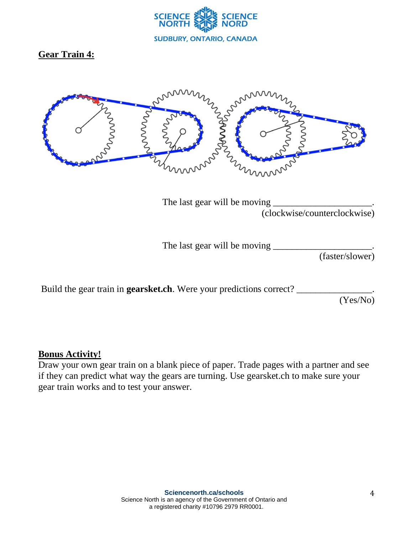

## **Gear Train 4:**



The last gear will be moving (clockwise/counterclockwise)

The last gear will be moving

(faster/slower)

Build the gear train in **gearsket.ch**. Were your predictions correct?

(Yes/No)

#### **Bonus Activity!**

Draw your own gear train on a blank piece of paper. Trade pages with a partner and see if they can predict what way the gears are turning. Use gearsket.ch to make sure your gear train works and to test your answer.